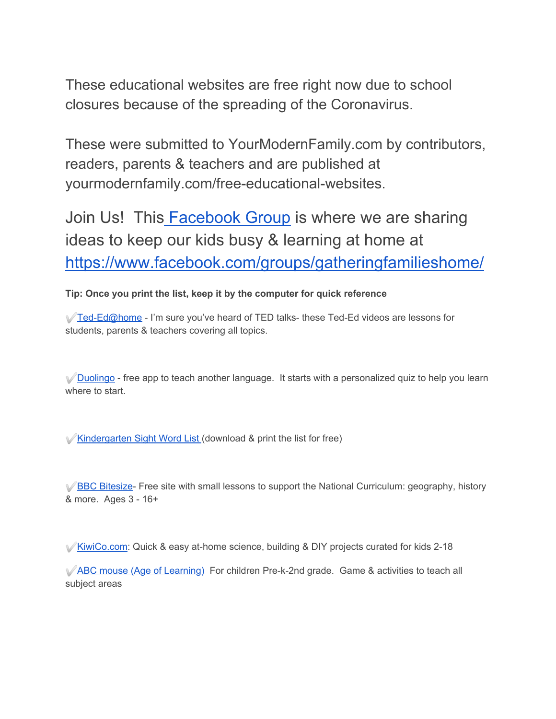These educational websites are free right now due to school closures because of the spreading of the Coronavirus.

These were submitted to YourModernFamily.com by contributors, readers, parents & teachers and are published at yourmodernfamily.com/free-educational-websites.

Join Us! This **Facebook Group** is where we are sharing ideas to keep our kids busy & learning at home at <https://www.facebook.com/groups/gatheringfamilieshome/>

## **Tip: Once you print the list, keep it by the computer for quick reference**

 $\sqrt{T}$ ed-Ed@home - I'm sure you've heard of TED talks- these Ted-Ed videos are lessons for students, parents & teachers covering all topics.

◆ [Duolingo](https://www.duolingo.com/) - free app to teach another language. It starts with a personalized quiz to help you learn where to start.

<del>■ [Kindergarten Sight Word List](https://www.yourmodernfamily.com/kindergarten-sight-words/)</del> (download & print the list for free)

✅[BBC Bitesize](https://www.bbc.co.uk/bitesize)- Free site with small lessons to support the National Curriculum: geography, history & more. Ages 3 - 16+

✅[KiwiCo.com](https://kiwi-crate.7eer.net/c/51090/244994/4034): Quick & easy at-home science, building & DIY projects curated for kids 2-18

✅[ABC mouse \(Age of Learning\)](https://www.kqzyfj.com/click-7018440-12795772) For children Pre-k-2nd grade. Game & activities to teach all subject areas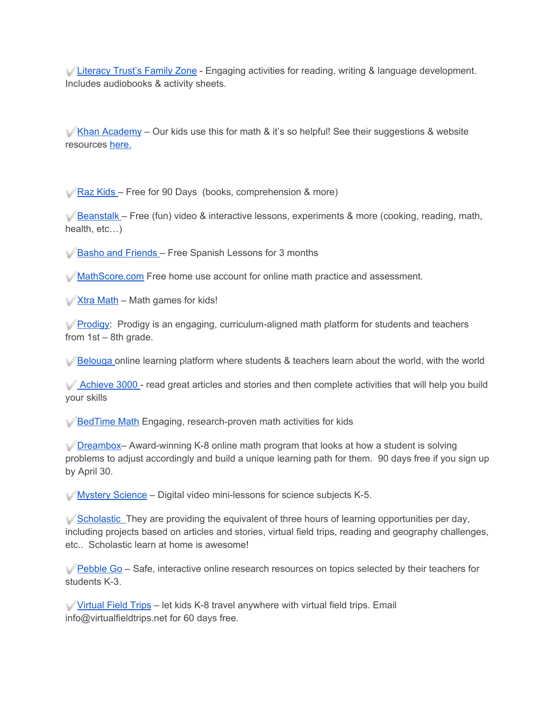✅[Literacy Trust's Family Zone](https://literacytrust.org.uk/family-zone/) - Engaging activities for reading, writing & language development. Includes audiobooks & activity sheets.

 $\mathcal V$ [Khan Academy](https://www.khanacademy.org/signup) – Our kids use this for math & it's so helpful! See their suggestions & website resource[s](https://www.khanacademy.org/about/blog/post/611770255064350720/remote-learning-with-khan-academy-during-school) [here.](https://www.khanacademy.org/about/blog/post/611770255064350720/remote-learning-with-khan-academy-during-school)

✅[Raz Kids](https://accounts.learninga-z.com/accountsweb/marketing/trial.do?campaign=rkCOVID19Trial&_ga=2.30676479.1759829876.1584333199-1593599984.1584333199) – Free for 90 Days (books, comprehension & more)

 $\sqrt{\frac{B}{2}}$ [Beanstalk](http://beanstalk.co/) – Free (fun) video & interactive lessons, experiments & more (cooking, reading, math, health, etc…)

✅[Basho and Friends](https://bashoandfriends.teachable.com/p/teacher-toolkit-spanish/) – Free Spanish Lessons for 3 months

✅[MathScore.com](http://www.mathscore.com/) Free home use account for online math practice and assessment.

 $\sqrt{\frac{1}{100}}$  [Xtra Math](https://xtramath.org/) – Math games for kids!

*√* **[Prodigy:](https://www.prodigygame.com/)** Prodigy is an engaging, curriculum-aligned math platform for students and teachers from 1st – 8th grade.

✅[Belouga](https://belouga.org/) online learning platform where students & teachers learn about the world, with the world

✅ [Achieve 3000](https://remotesupport.achieve3000.com/at-home-digital/) - read great articles and stories and then complete activities that will help you build your skills

✅[BedTime Math](http://bedtimemath.org/) Engaging, research-proven math activities for kids

✅[Dreambox–](https://www.dreambox.com/at-home) Award-winning K-8 online math program that looks at how a student is solving problems to adjust accordingly and build a unique learning path for them. 90 days free if you sign up by April 30.

 $\mathcal V$  [Mystery Science](https://mysteryscience.com/school-closure-planning) – Digital video mini-lessons for science subjects K-5.

 $\sqrt{\frac{1}{2}}$  [Scholastic](https://classroommagazines.scholastic.com/support/learnathome.html) They are providing the equivalent of three hours of learning opportunities per day, including projects based on articles and stories, virtual field trips, reading and geography challenges, etc.. Scholastic learn at home is awesome!

 $\sqrt{\frac{\text{Pebble Go}}{\text{Co}}}$  – Safe, interactive online research resources on topics selected by their teachers for students K-3.

✅[Virtual Field Trips](http://www.virtualfieldtrips.org/) – let kids K-8 travel anywhere with virtual field trips. Email info@virtualfieldtrips.net for 60 days free.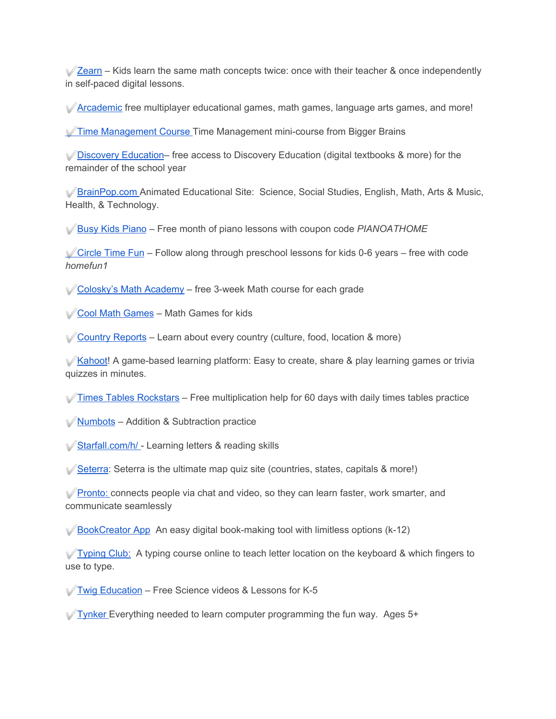$\sqrt{2}$ earn – Kids learn the same math concepts twice: once with their teacher & once independently in self-paced digital lessons.

✅[Arcademic](https://www.arcademics.com/) free multiplayer educational games, math games, language arts games, and more!

✅[Time Management Course](https://brainbot.ai/tryit/) Time Management mini-course from Bigger Brains

✅[Discovery Education–](https://www.discoveryeducation.com/coronavirus-response/) free access to Discovery Education (digital textbooks & more) for the remainder of the school year

✅[BrainPop.com](https://educators.brainpop.com/2020/02/19/free-brainpop-access-for-schools-affected-by-the-corona-virus/) Animated Educational Site: Science, Social Studies, English, Math, Arts & Music, Health, & Technology.

✅[Busy Kids Piano](https://busykidsdopiano.com/membership/) – Free month of piano lessons with coupon code *PIANOATHOME*

 $\sqrt{\frac{1}{100}}$  [Circle Time Fun](https://circletimefun.com/) – Follow along through preschool lessons for kids 0-6 years – free with code *homefun1*

✅[Colosky's Math Academy](https://coloskys-math-academy.thinkific.com/collections?category=pre-recorded&fbclid=IwAR1dCdu60l4pEt7S8JGdxHGMooJjaFq6-MrQqI1meEar5mkvIPGUyPj2ixI) – free 3-week Math course for each grade

✅[Cool Math Games](https://www.coolmathgames.com/) – Math Games for kids

✅[Country Reports](https://www.countryreports.org/) – Learn about every country (culture, food, location & more)

✅[Kahoot](https://kahoot.com/blog/2020/02/27/kahoot-free-access-schools-higher-education-coronavirus/)! A game-based learning platform: Easy to create, share & play learning games or trivia quizzes in minutes.

 $\sqrt{\ }$ [Times Tables Rockstars](https://ttrockstars.com/home) – Free multiplication help for 60 days with daily times tables practice

✅[Numbots](https://numbots.com/covid19support/) – Addition & Subtraction practice

✅[Starfall.com/h/](https://starfall.com/h/) - Learning letters & reading skills

 $\sqrt{\frac{3}{5}}$  [Seterra](https://online.seterra.com/en/p/corona-support) is the ultimate map quiz site (countries, states, capitals & more!)

✅[Pronto:](https://pronto.io/coronavirus/) connects people via chat and video, so they can learn faster, work smarter, and communicate seamlessly

 $\mathcal V$  [BookCreator App](https://bookcreator.com/2020/03/support-for-schools-affected-by-coronavirus/) An easy digital book-making tool with limitless options (k-12)

 $\sqrt{T}$ yping Club: A typing course online to teach letter location on the keyboard & which fingers to use to type.

✅[Twig Education](https://www.twigsciencetools.com/) – Free Science videos & Lessons for K-5

 $\sqrt{T}$  [Tynker](https://mailchi.mp/tynker/in-support-of-schools-facing-health-related-closure) Everything needed to learn computer programming the fun way. Ages 5+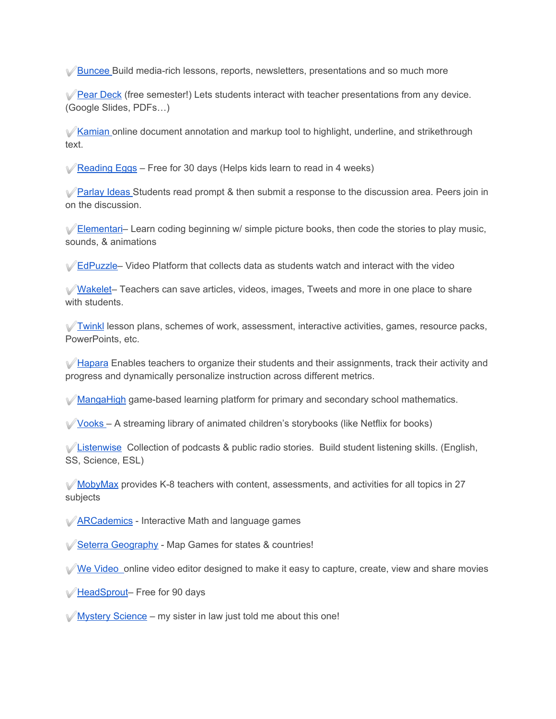✅[Buncee](https://blog.buncee.com/supporting-remote-student-learning/) Build media-rich lessons, reports, newsletters, presentations and so much more

 $\sqrt{\frac{Pear \text{Deck}}{P}$  (free semester!) Lets students interact with teacher presentations from any device. (Google Slides, PDFs…)

✅[Kamian](https://blog.kamiapp.com/remote-learning-with-kami-during-school-shutdowns/) online document annotation and markup tool to highlight, underline, and strikethrough text.

 $\sqrt{\overline{\text{Reading E}ggs - \text{Free}}$  for 30 days (Helps kids learn to read in 4 weeks)

✅[Parlay Ideas](https://parlayideas.com/school-closure-support/) Students read prompt & then submit a response to the discussion area. Peers join in on the discussion.

**⊘[Elementari](https://docs.google.com/forms/d/e/1FAIpQLSdJ1LAywQdwvNKN_SpsypVA48XOaoCTQoGhuaP7e12fgwPnWA/viewform)–** Learn coding beginning w/ simple picture books, then code the stories to play music, sounds, & animations

✅[EdPuzzle–](https://support.edpuzzle.com/hc/en-us/articles/360039805612-Help-for-schools-affected-by-Covid-19) Video Platform that collects data as students watch and interact with the video

✅[Wakelet](https://wakelet.com/wake/3af73ea4-a652-4e38-934d-765aefe0f35b)– Teachers can save articles, videos, images, Tweets and more in one place to share with students.

✅[Twinkl](https://www.twinkl.com/blog/how-to-utilise-twinkl-during-the-coronavirus-shutdown-a-guide-for-schools) lesson plans, schemes of work, assessment, interactive activities, games, resource packs, PowerPoints, etc.

 $\sqrt{q}$  [Hapara](https://hapara.com/from-home/) Enables teachers to organize their students and their assignments, track their activity and progress and dynamically personalize instruction across different metrics.

✅[MangaHigh](https://www.mangahigh.com/en-gb/blog/2020-03-06-free-access-schools-online-maths-coronavirus) game-based learning platform for primary and secondary school mathematics.

✅[Vooks](https://www.vooks.com/teacher-appreciation) – A streaming library of animated children's storybooks (like Netflix for books)

 $\sqrt{\frac{1}{100}}$ [Listenwise](http://blog.listenwise.com/2020/03/listenwise-support-for-schools-affected-by-the-coronavirus/) Collection of podcasts & public radio stories. Build student listening skills. (English, SS, Science, ESL)

 $\mathcal W$ [MobyMax](http://press.mobymax.com/mobymax-to-provide-all-k-8-schools-and-school-districts-closed-by-covid-19-with-free-internet-learning-software) provides K-8 teachers with content, assessments, and activities for all topics in 27 subjects

✅[ARCademics](https://www.arcademics.com/) - Interactive Math and language games

✅[Seterra Geography](https://online.seterra.com/en/p/corona-support) - Map Games for states & countries!

 $\sqrt{W}$  [We Video](https://www.wevideo.com/education) online video editor designed to make it easy to capture, create, view and share movies

✅[HeadSprout](https://accounts.learninga-z.com/accountsweb/marketing/trial.do?campaign=headsproutCOVID19Trial&_ga=2.30676479.1759829876.1584333199-1593599984.1584333199)– Free for 90 days

 $\sqrt{M}$  [Mystery Science](https://mysteryscience.com/?fbclid=IwAR0tiDhJA1fs0tvraKnXpDLa2JlJGXQhzPR4UnQRVfbOR1Ca3C5yQY5tNwQ) – my sister in law just told me about this one!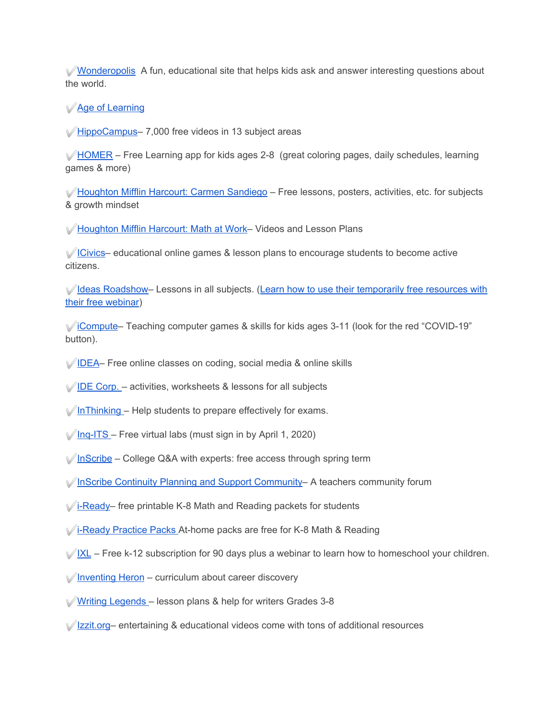✅[Wonderopolis](http://wonderopolis.org/) A fun, educational site that helps kids ask and answer interesting questions about the world.

✅[Age of Learning](https://www.ageoflearning.com/schools)

✅[HippoCampus–](https://hippocampus.org/) 7,000 free videos in 13 subject areas

 $\mathcal V$ [HOMER](https://learnwithhomer.com/) – Free Learning app for kids ages 2-8 (great coloring pages, daily schedules, learning games & more)

✅[Houghton Mifflin Harcourt: Carmen Sandiego](https://www.carmensandiego.com/resources) – Free lessons, posters, activities, etc. for subjects & growth mindset

✅[Houghton Mifflin Harcourt: Math at Work](https://www.hmhco.com/math-at-work)– Videos and Lesson Plans

✅[ICivics](https://www.icivics.org/)– educational online games & lesson plans to encourage students to become active citizens.

✅[Ideas Roadshow–](https://ideasroadshowibdp.com/) Lessons in all subjects. [\(Learn how to use their temporarily free resources with](https://register.gotowebinar.com/rt/344483995560126731) [their free webinar](https://register.gotowebinar.com/rt/344483995560126731))

✅[iCompute](https://www.icompute-uk.com/)– Teaching computer games & skills for kids ages 3-11 (look for the red "COVID-19" button).

- ✅[IDEA–](https://idea.org.uk/) Free online classes on coding, social media & online skills
- $\sqrt{\text{IDE Corp.}}$  $\sqrt{\text{IDE Corp.}}$  $\sqrt{\text{IDE Corp.}}$  activities, worksheets & lessons for all subjects
- $\sqrt{\ln\text{Thinking}} \text{Help}$  students to prepare effectively for exams.
- $\sqrt{\ln q}$ -ITS Free virtual labs (must sign in by April 1, 2020)
- $\sqrt{\ln \text{Scribe}}$  College Q&A with experts: free access through spring term
- ✅[InScribe Continuity Planning and Support Community](https://inscribe.education/main/inscribe/6754110229456694/home) A teachers community forum
- $\sqrt{\frac{1}{2}}$  [i-Ready–](https://www.curriculumassociates.com/supporting-students-away-from-school) free printable K-8 Math and Reading packets for students
- ✅[i-Ready Practice Packs](https://www.curriculumassociates.com/supporting-students-away-from-school?utm_source=VanityURL_CAI-562381a&utm_medium=WordofMouth_Multi-use&utm_content=iready_ATHOME&utm_campaign=vanity) At-home packs are free for K-8 Math & Reading
- $\sqrt{\frac{|\mathsf{XL}|}{|\mathsf{XL}|}}$  Free k-12 subscription for 90 days plus a webinar to learn how to homeschool your children.
- ✅[Inventing Heron](https://inventingheron.com/) curriculum about career discovery
- ✅[Writing Legends](https://www.writinglegends.com/) lesson plans & help for writers Grades 3-8
- ✅[Izzit.org–](https://www.izzit.org/) entertaining & educational videos come with tons of additional resources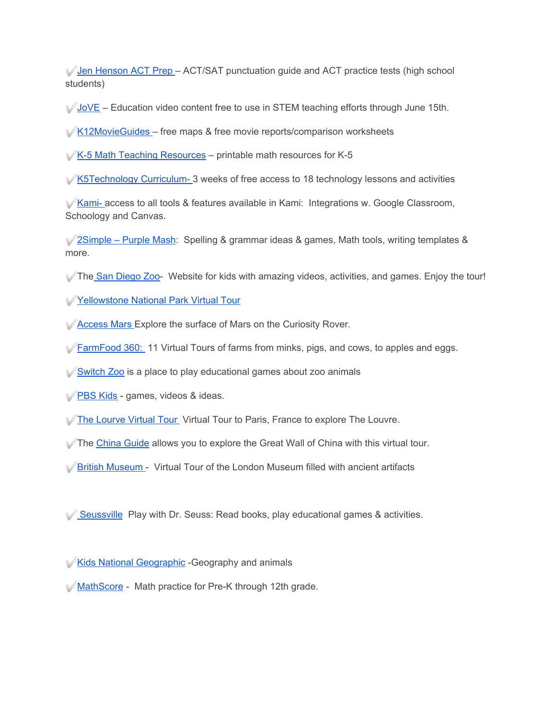✅[Jen Henson ACT Prep](https://jenhensonactprep.com/) – ACT/SAT punctuation guide and ACT practice tests (high school students)

 $\sqrt{3}$  [JoVE](https://info2.jove.com/requestaccess) – Education video content free to use in STEM teaching efforts through June 15th.

 $\sqrt{K12}$ MovieGuides – free maps & free movie reports/comparison worksheets

 $\sqrt{K}$ -5 Math Teaching Resources – printable math resources for K-5

✅[K5Technology Curriculum-](http://www.k5technologycurriculum.com/covid19/) 3 weeks of free access to 18 technology lessons and activities

✅[Kami-](https://blog.kamiapp.com/remote-learning-with-kami-during-school-shutdowns/) access to all tools & features available in Kami: Integrations w. Google Classroom, Schoology and Canvas.

✅[2Simple – Purple Mash:](https://2simple.com/blog/using-purple-mash-when-school-closed/) Spelling & grammar ideas & games, Math tools, writing templates & more.

✅The [San Diego Zoo](https://kids.sandiegozoo.org/)- Website for kids with amazing videos, activities, and games. Enjoy the tour!

✅[Yellowstone National Park Virtual Tour](https://www.nps.gov/yell/learn/photosmultimedia/virtualtours.htm)

- ✅[Access Mars](https://accessmars.withgoogle.com/) Explore the surface of Mars on the Curiosity Rover.
- **⊘ [FarmFood 360:](https://www.farmfood360.ca/) 11 Virtual Tours of farms from minks, pigs, and cows, to apples and eggs.**

✅[Switch Zoo](https://switchzoo.com/) is a place to play educational games about zoo animals

✅[PBS Kids](https://pbskids.org/) - games, videos & ideas.

[The Lourve Virtual Tour](https://l.facebook.com/l.php?u=https%3A%2F%2Fwww.louvre.fr%2Fen%2Fvisites-en-ligne%3Ffbclid%3DIwAR2xA28tpXNLcHgca6gMkmlqn2_Y369nmbp20wrXA_AaEthCQTxncWc1hWE&h=AT099NDcL7l96K6WT8Q4ET3qLFLzl8vkwDoGOT03sKz_hiqPKMePb-XFOMG0Z9i5I7ibjLZ95oPvWlwLWtsVOW78gsopY8F_oQdOG8sSJS-8mpGl5LwhqQ65Q-GHh54xLg4LoRASPMKY5ZscBNYKONbCJwLuweSHFQ) Virtual Tour to Paris, France to explore The Louvre.

 $\sqrt{ }$  The [China Guide](https://www.thechinaguide.com/destination/great-wall-of-china/) allows you to explore the Great Wall of China with this virtual tour.

✅[British Museum](https://britishmuseum.withgoogle.com/) - Virtual Tour of the London Museum filled with ancient artifacts

<del>◯</del> [Seussville](https://www.seussville.com/) Play with Dr. Seuss: Read books, play educational games & activities.

✅[Kids National Geographic](https://kids.nationalgeographic.com/) -Geography and animals

✅[MathScore](http://www.mathscore.com/) - Math practice for Pre-K through 12th grade.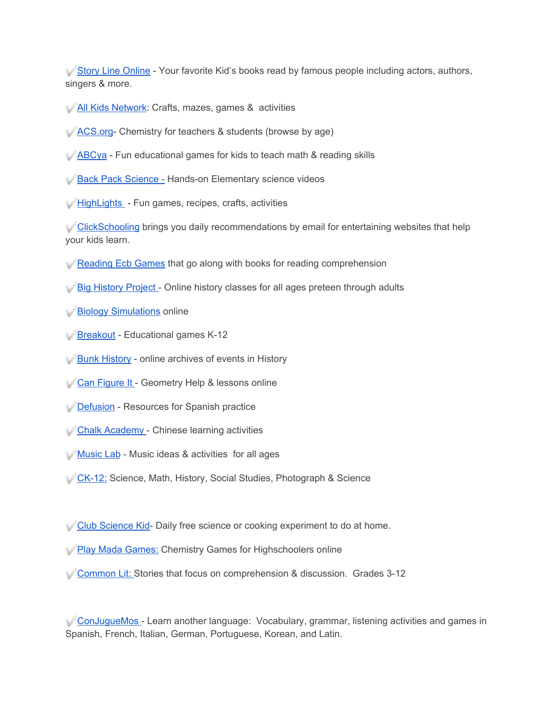✅[Story Line Online](https://www.storylineonline.net/) - Your favorite Kid's books read by famous people including actors, authors, singers & more.

- ✅[All Kids Network](https://www.allkidsnetwork.com/): Crafts, mazes, games & activities
- ✅[ACS.org](https://www.acs.org/content/acs/en/education.html) Chemistry for teachers & students (browse by age)
- ✅[ABCya](https://www.abcya.com/)  Fun educational games for kids to teach math & reading skills
- [Back Pack Science](https://www.backpacksciences.com/science-simplified) Hands-on Elementary science videos
- ✅[HighLights](https://www.highlightskids.com/) Fun games, recipes, crafts, activities

✅[ClickSchooling](https://clickschooling.com/) brings you daily recommendations by email for entertaining websites that help your kids learn.

- ✅[Reading Ecb Games](https://reading.ecb.org/) that go along with books for reading comprehension
- ✅[Big History Project](https://school.bighistoryproject.com/bhplive) Online history classes for all ages preteen through adults
- ✅[Biology Simulations](https://www.biologysimulations.com/) online
- ✅[Breakout](https://www.breakoutedu.com/funathome)  Educational games K-12
- ✅[Bunk History](https://www.bunkhistory.org/)  online archives of events in History
- ✅[Can Figure It](https://www.canfigureit.com/) Geometry Help & lessons online
- ✅[Defusion](https://www.difusion.com/campus/)  Resources for Spanish practice
- ✅[Chalk Academy](https://chalkacademy.com/) Chinese learning activities
- ✅[Music Lab](https://musiclab.chromeexperiments.com/Experiments)  Music ideas & activities for all ages
- ✅[CK-12:](https://www.ck12.org/student/) Science, Math, History, Social Studies, Photograph & Science
- ✅[Club Science Kid](http://www.clubscikidzmd.com/blog/) Daily free science or cooking experiment to do at home.
- <del></del> [Play Mada Games:](https://www.playmadagames.com/) Chemistry Games for Highschoolers online
- ◯ [Common Lit:](https://www.commonlit.org/) Stories that focus on comprehension & discussion. Grades 3-12

✅[ConJugueMos](https://conjuguemos.com/) - Learn another language: Vocabulary, grammar, listening activities and games in Spanish, French, Italian, German, Portuguese, Korean, and Latin.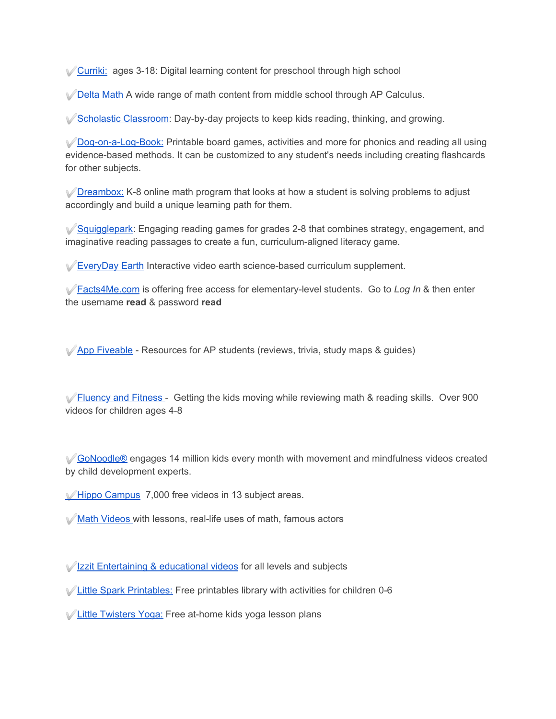✅[Curriki:](https://www.curriki.org/) ages 3-18: Digital learning content for preschool through high school

**◯ [Delta Math](https://deltamath.com/overview) A wide range of math content from middle school through AP Calculus.** 

✅[Scholastic Classroom](https://classroommagazines.scholastic.com/): Day-by-day projects to keep kids reading, thinking, and growing.

✅[Dog-on-a-Log-Book:](https://dogonalogbooks.com/printables/) Printable board games, activities and more for phonics and reading all using evidence-based methods. It can be customized to any student's needs including creating flashcards for other subjects.

✅[Dreambox:](https://www.dreambox.com/at-home) K-8 online math program that looks at how a student is solving problems to adjust accordingly and build a unique learning path for them.

✅[Squigglepark](https://www.squigglepark.com/dreamscape/): Engaging reading games for grades 2-8 that combines strategy, engagement, and imaginative reading passages to create a fun, curriculum-aligned literacy game.

✅[EveryDay Earth](https://www.everyday-earth.com/) Interactive video earth science-based curriculum supplement.

✅[Facts4Me.com](https://facts4me.com/) is offering free access for elementary-level students. Go to *Log In* & then enter the username **read** & password **read**

✅[App Fiveable](https://app.fiveable.me/) - Resources for AP students (reviews, trivia, study maps & guides)

 $\sqrt{\frac{F_{\text{H}}}{F_{\text{H}}}}$  [Fluency and Fitness](https://fluencyandfitness.com/register/school-closures/) - Getting the kids moving while reviewing math & reading skills. Over 900 videos for children ages 4-8

**√[GoNoodle®](https://www.gonoodle.com/)** engages 14 million kids every month with movement and mindfulness videos created by child development experts.

✅[Hippo Campus](https://hippocampus.org/) 7,000 free videos in 13 subject areas.

✅[Math Videos](https://www.hmhco.com/math-at-work) with lessons, real-life uses of math, famous actors

✅[Little Spark Printables:](https://www.littlesparkcompany.com/printables-library) Free printables library with activities for children 0-6

✅[Little Twisters Yoga:](https://littletwistersyoga.com/online-store/) Free at-home kids yoga lesson plans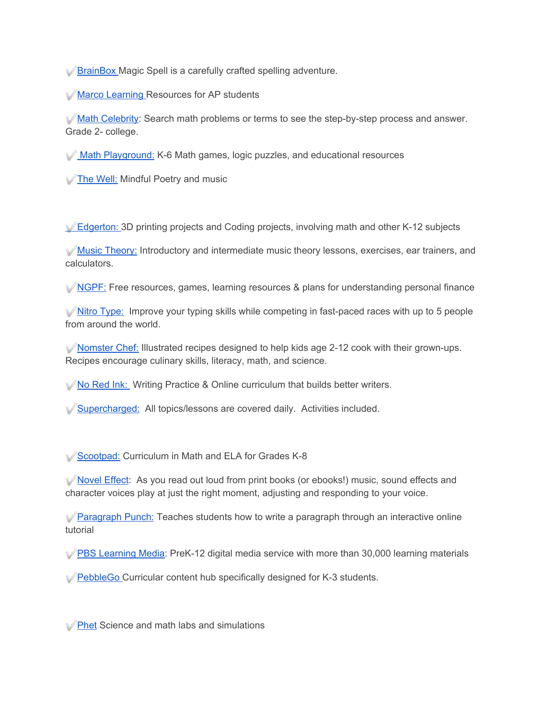✅[BrainBox](https://brainbox.games/) Magic Spell is a carefully crafted spelling adventure.

✅[Marco Learning](https://marcolearning.com/) Resources for AP students

✅[Math Celebrity:](https://www.mathcelebrity.com/online-math-tutor.php) Search math problems or terms to see the step-by-step process and answer. Grade 2- college.

✅ [Math Playground:](https://www.mathplayground.com/) K-6 Math games, logic puzzles, and educational resources

✅[The Well:](https://www.thewell.world/mindful-music/mindful-poetry-moments) Mindful Poetry and music

✅[Edgerton:](https://www.instructables.com/member/EdgertonCenter/instructables/) 3D printing projects and Coding projects, involving math and other K-12 subjects

✅[Music Theory:](https://www.musictheory.net/) Introductory and intermediate music theory lessons, exercises, ear trainers, and calculators.

 $\sqrt{NGPF}$ : Free resources, games, learning resources & plans for understanding personal finance

 $\blacktriangledown$ [Nitro Type:](https://www.nitrotype.com/) Improve your typing skills while competing in fast-paced races with up to 5 people from around the world.

✅[Nomster Chef:](https://www.nomsterchef.com/nomster-recipe-library) Illustrated recipes designed to help kids age 2-12 cook with their grown-ups. Recipes encourage culinary skills, literacy, math, and science.

✅[No Red Ink:](https://www.noredink.com/) Writing Practice & Online curriculum that builds better writers.

[Supercharged:](https://www.superchargedschool.com/) All topics/lessons are covered daily. Activities included.

✅[Scootpad:](https://www.scootpad.com/) Curriculum in Math and ELA for Grades K-8

✅[Novel Effect:](https://noveleffect.com/) As you read out loud from print books (or ebooks!) music, sound effects and character voices play at just the right moment, adjusting and responding to your voice.

✅[Paragraph Punch:](http://www.paragraphpunch.com/) Teaches students how to write a paragraph through an interactive online tutorial

✅[PBS Learning Media:](https://www.pbslearningmedia.org/) PreK-12 digital media service with more than 30,000 learning materials

✅[PebbleGo](https://pebblego.com/free-pebblego-capstone-interactive-access-school-closures/) Curricular content hub specifically designed for K-3 students.

✅[Phet](https://phet.colorado.edu/) Science and math labs and simulations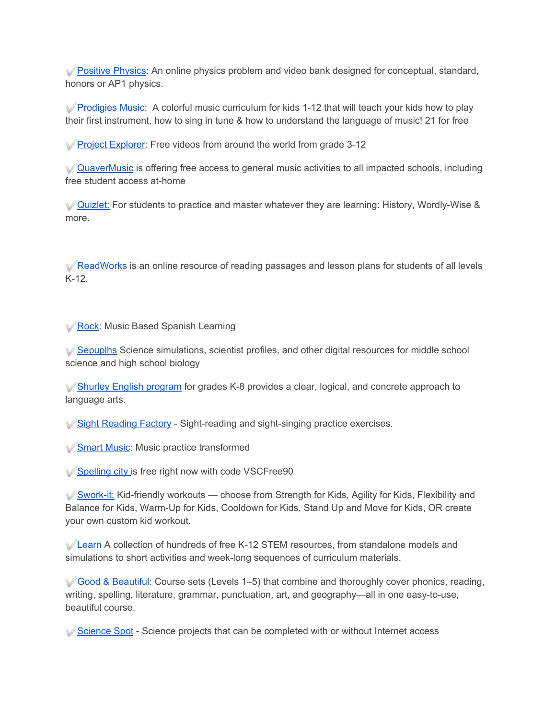✅[Positive Physics:](https://www.positivephysics.org/home) An online physics problem and video bank designed for conceptual, standard, honors or AP1 physics.

✅[Prodigies Music:](https://prodigiesmusic.com/) A colorful music curriculum for kids 1-12 that will teach your kids how to play their first instrument, how to sing in tune & how to understand the language of music! 21 for free

✅[Project Explorer:](https://www.projectexplorer.org/) Free videos from around the world from grade 3-12

✅[QuaverMusic](https://www.quavermusic.com/info/at-home-resources/) is offering free access to general music activities to all impacted schools, including free student access at-home

✅[Quizlet:](https://quizlet.com/) For students to practice and master whatever they are learning: History, Wordly-Wise & more.

✅[ReadWorks](https://www.readworks.org/) is an online resource of reading passages and lesson plans for students of all levels K-12.

✅[Rock](https://rockalingua.com/): Music Based Spanish Learning

✅[Sepuplhs](https://sepuplhs.org/) Science simulations, scientist profiles, and other digital resources for middle school science and high school biology

✅[Shurley English program](https://www.shurley.com/) for grades K-8 provides a clear, logical, and concrete approach to language arts.

✅[Sight Reading Factory](https://www.sightreadingfactory.com/) - Sight-reading and sight-singing practice exercises.

✅[Smart Music](https://www.smartmusic.com/): Music practice transformed

✅[Spelling city](https://www.spellingcity.com/) is free right now with code VSCFree90

 $\sqrt{\frac{1}{N}}$ [Swork-it:](https://app.sworkit.com/collections/kids-workouts) Kid-friendly workouts — choose from Strength for Kids, Agility for Kids, Flexibility and Balance for Kids, Warm-Up for Kids, Cooldown for Kids, Stand Up and Move for Kids, OR create your own custom kid workout.

✅[Learn](https://learn.concord.org/) A collection of hundreds of free K-12 STEM resources, from standalone models and simulations to short activities and week-long sequences of curriculum materials.

 $\sqrt{3}$  [Good & Beautiful:](https://www.goodandbeautiful.com/) Course sets (Levels 1–5) that combine and thoroughly cover phonics, reading, writing, spelling, literature, grammar, punctuation, art, and geography—all in one easy-to-use, beautiful course.

✅[Science Spot](https://sciencespot.net/Pages/classhome.html) - Science projects that can be completed with or without Internet access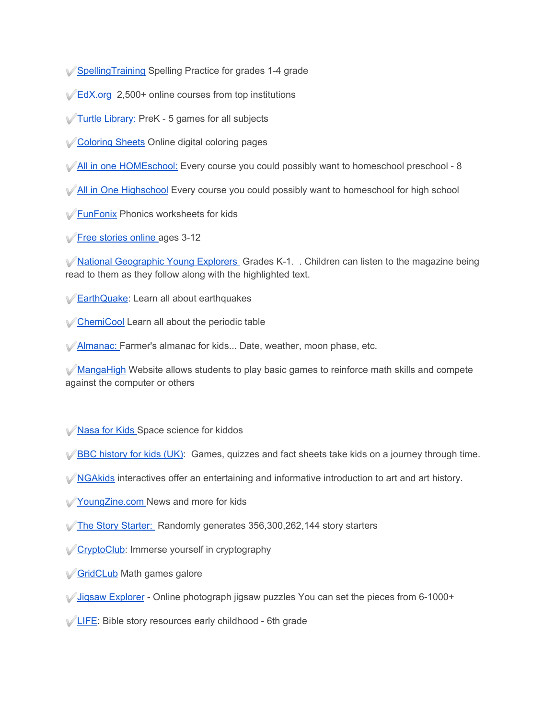- ✅[SpellingTraining](https://www.spellingtraining.com/) Spelling Practice for grades 1-4 grade
- <del></del><del>∠[EdX.org](https://www.edx.org/)</del> 2,500+ online courses from top institutions
- ✅[Turtle Library:](https://www.turtlediary.com/) PreK 5 games for all subjects
- ✅[Coloring Sheets](https://www.thecolor.com/) Online digital coloring pages
- ✅[All in one HOMEschool:](https://allinonehomeschool.com/) Every course you could possibly want to homeschool preschool 8
- ◆ [All in One Highschool](https://allinonehighschool.com/) Every course you could possibly want to homeschool for high school
- ✅[FunFonix](https://www.funfonix.com/) Phonics worksheets for kids
- ✅[Free stories online](https://www.freechildrenstories.com/) ages 3-12

◆[National Geographic Young Explorers](https://ngexplorer.cengage.com/ngyoungexplorer/index.html) Grades K-1. . Children can listen to the magazine being read to them as they follow along with the highlighted text.

- ✅[EarthQuake](https://earthquake.usgs.gov/learn/kids/): Learn all about earthquakes
- ✅[ChemiCool](https://www.chemicool.com/) Learn all about the periodic table
- ✅[Almanac:](https://www.almanac.com/kids) Farmer's almanac for kids... Date, weather, moon phase, etc.

✅[MangaHigh](https://www.mangahigh.com/en-us/) Website allows students to play basic games to reinforce math skills and compete against the computer or others

- ✅[Nasa for Kids](https://www.nasa.gov/kidsclub/index.html) Space science for kiddos
- $\sqrt{\text{BBC}}$  history for kids (UK): Games, quizzes and fact sheets take kids on a journey through time.
- **◆[NGAkids](https://www.nga.gov/education/kids.html) interactives offer an entertaining and informative introduction to art and art history.**
- ✅[YoungZine.com](https://www.youngzine.org/) News and more for kids
- ✅[The Story Starter:](https://thestorystarter.com/) Randomly generates 356,300,262,144 story starters
- **√ [CryptoClub](https://www.cryptoclub.org/):** Immerse yourself in cryptography
- [GridCLub](https://gridclub.com/) Math games galore
- ◯ [Jigsaw Explorer](https://www.jigsawexplorer.com/) Online photograph jigsaw puzzles You can set the pieces from 6-1000+
- ✅[LIFE](https://www.life.church/kids/media/): Bible story resources early childhood 6th grade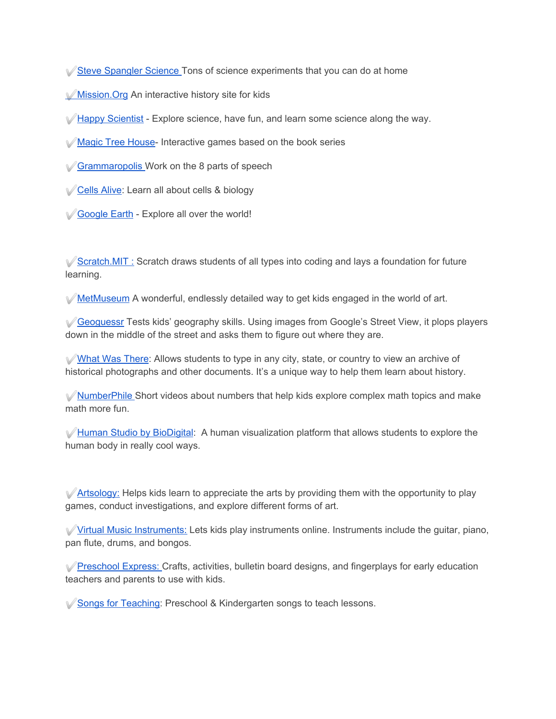✅[Steve Spangler Science](https://www.stevespanglerscience.com/lab/experiments/) Tons of science experiments that you can do at home

✅[Mission.Org](https://www.mission-us.org/) An interactive history site for kids

✅[Happy Scientist](https://thehappyscientist.com/) - Explore science, have fun, and learn some science along the way.

✅[Magic Tree House-](https://www.magictreehouse.com/) Interactive games based on the book series

✅[Grammaropolis](https://www.grammaropolis.com/) Work on the 8 parts of speech

✅[Cells Alive](https://www.cellsalive.com/): Learn all about cells & biology

✅[Google Earth](https://www.google.com/earth/) - Explore all over the world!

✅[Scratch.MIT :](https://scratch.mit.edu/) Scratch draws students of all types into coding and lays a foundation for future learning.

✅[MetMuseum](https://www.metmuseum.org/art/online-features/metkids/) A wonderful, endlessly detailed way to get kids engaged in the world of art.

✅[Geoguessr](https://www.geoguessr.com/) Tests kids' geography skills. Using images from Google's Street View, it plops players down in the middle of the street and asks them to figure out where they are.

✅[What Was There:](http://www.whatwasthere.com//) Allows students to type in any city, state, or country to view an archive of historical photographs and other documents. It's a unique way to help them learn about history.

✅[NumberPhile](https://www.numberphile.com/) Short videos about numbers that help kids explore complex math topics and make math more fun.

✅[Human Studio by BioDigital:](https://human.biodigital.com/login/create) A human visualization platform that allows students to explore the human body in really cool ways.

✅[Artsology:](https://artsology.com/) Helps kids learn to appreciate the arts by providing them with the opportunity to play games, conduct investigations, and explore different forms of art.

✅[Virtual Music Instruments:](https://www.virtualmusicalinstruments.com/) Lets kids play instruments online. Instruments include the guitar, piano, pan flute, drums, and bongos.

✅[Preschool Express:](http://www.preschoolexpress.com/) Crafts, activities, bulletin board designs, and fingerplays for early education teachers and parents to use with kids.

✅[Songs for Teaching](https://www.songsforteaching.com/preschoolkindergarten.htm): Preschool & Kindergarten songs to teach lessons.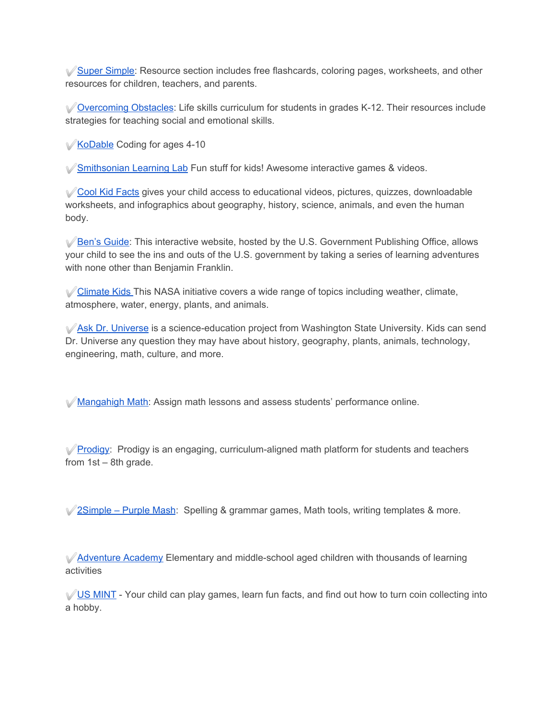✅[Super Simple](https://supersimple.com/): Resource section includes free flashcards, coloring pages, worksheets, and other resources for children, teachers, and parents.

✅[Overcoming Obstacles](https://www.overcomingobstacles.org/): Life skills curriculum for students in grades K-12. Their resources include strategies for teaching social and emotional skills.

✅[KoDable](https://www.kodable.com/) Coding for ages 4-10

✅[Smithsonian Learning Lab](https://www.si.edu/kids) Fun stuff for kids! Awesome interactive games & videos.

✅[Cool Kid Facts](https://www.coolkidfacts.com/) gives your child access to educational videos, pictures, quizzes, downloadable worksheets, and infographics about geography, history, science, animals, and even the human body.

✅[Ben's Guide](https://bensguide.gpo.gov/): This interactive website, hosted by the U.S. Government Publishing Office, allows your child to see the ins and outs of the U.S. government by taking a series of learning adventures with none other than Benjamin Franklin.

✅[Climate Kids](https://climatekids.nasa.gov/) This NASA initiative covers a wide range of topics including weather, climate, atmosphere, water, energy, plants, and animals.

✅[Ask Dr. Universe](https://askdruniverse.wsu.edu/) is a science-education project from Washington State University. Kids can send Dr. Universe any question they may have about history, geography, plants, animals, technology, engineering, math, culture, and more.

✅[Mangahigh Math:](https://www.mangahigh.com/en-us/blog/2020-03-06-free-access-schools-online-maths-coronavirus) Assign math lessons and assess students' performance online.

*√* **[Prodigy:](https://www.prodigygame.com/)** Prodigy is an engaging, curriculum-aligned math platform for students and teachers from 1st – 8th grade.

✅[2Simple – Purple Mash:](https://2simple.com/blog/using-purple-mash-when-school-closed/) Spelling & grammar games, Math tools, writing templates & more.

✅[Adventure Academy](https://www.ageoflearning.com/schools) Elementary and middle-school aged children with thousands of learning activities

✅[US MINT](https://www.usmint.gov/learn/kids) - Your child can play games, learn fun facts, and find out how to turn coin collecting into a hobby.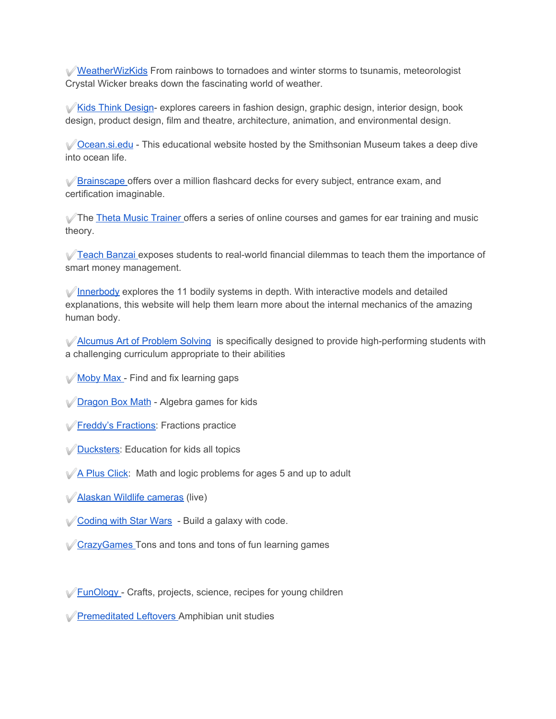✅[WeatherWizKids](http://www.weatherwizkids.com/) From rainbows to tornadoes and winter storms to tsunamis, meteorologist Crystal Wicker breaks down the fascinating world of weather.

✅[Kids Think Design-](http://www.kidsthinkdesign.org/) explores careers in fashion design, graphic design, interior design, book design, product design, film and theatre, architecture, animation, and environmental design.

✅[Ocean.si.edu](https://ocean.si.edu/) - This educational website hosted by the Smithsonian Museum takes a deep dive into ocean life.

✅[Brainscape](https://www.brainscape.com/) offers over a million flashcard decks for every subject, entrance exam, and certification imaginable.

✅The [Theta Music Trainer](https://trainer.thetamusic.com/en) offers a series of online courses and games for ear training and music theory.

✅[Teach Banzai](https://www.teachbanzai.com/) exposes students to real-world financial dilemmas to teach them the importance of smart money management.

 $\sqrt{\frac{1}{2}}$  [Innerbody](https://www.innerbody.com/htm/body.html) explores the 11 bodily systems in depth. With interactive models and detailed explanations, this website will help them learn more about the internal mechanics of the amazing human body.

✅[Alcumus Art of Problem Solving](https://artofproblemsolving.com/alcumus) is specifically designed to provide high-performing students with a challenging curriculum appropriate to their abilities

- [Moby Max](https://www.mobymax.com/) Find and fix learning gaps
- ✅[Dragon Box Math](https://www.dragonboxapp.com/) Algebra games for kids
- ✅[Freddy's Fractions:](http://www.mathchimp.com/freddysfractions.php) Fractions practice
- **<del>⊘Ducksters</del>**: Education for kids all topics
- $\sqrt{A}$  Plus Click: Math and logic problems for ages 5 and up to adult
- ✅[Alaskan Wildlife cameras](http://www.adfg.alaska.gov/index.cfm?adfg=viewing.webcams) (live)
- *<u>Coding with Star Wars</u>* Build a galaxy with code.
- ✅[CrazyGames](https://www.crazygames.com/) Tons and tons and tons of fun learning games
- ✅[FunOlogy](https://www.funology.com/) Crafts, projects, science, recipes for young children
- ✅[Premeditated Leftovers](https://premeditatedleftovers.com/naturally-frugal-mom/amphibians-unit-study-resources/) Amphibian unit studies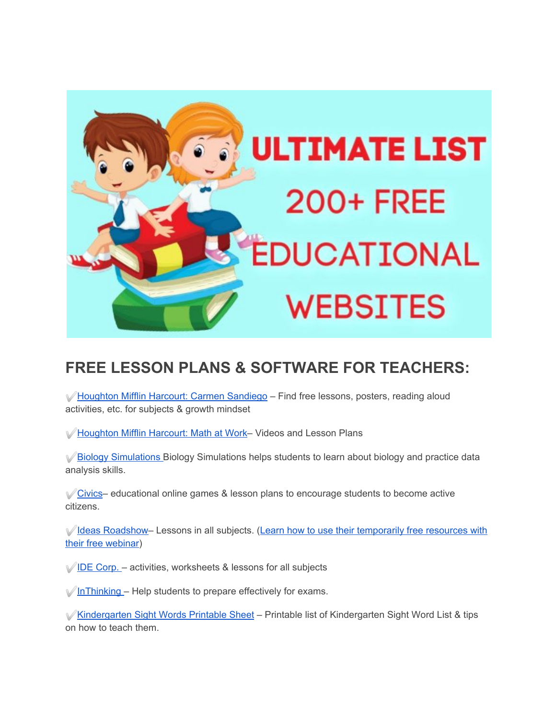

## **FREE LESSON PLANS & SOFTWARE FOR TEACHERS:**

✅[Houghton Mifflin Harcourt: Carmen Sandiego](https://www.carmensandiego.com/resources) – Find free lessons, posters, reading aloud activities, etc. for subjects & growth mindset

✅[Houghton Mifflin Harcourt: Math at Work](https://www.hmhco.com/math-at-work)– Videos and Lesson Plans

✅[Biology Simulations](https://www.biologysimulations.com/) Biology Simulations helps students to learn about biology and practice data analysis skills.

✅[Civics](https://www.icivics.org/)– educational online games & lesson plans to encourage students to become active citizens.

✅[Ideas Roadshow–](https://ideasroadshowibdp.com/) Lessons in all subjects. [\(Learn how to use their temporarily free resources with](https://register.gotowebinar.com/rt/344483995560126731) [their free webinar](https://register.gotowebinar.com/rt/344483995560126731))

 $\sqrt{\text{IDE Corp.}}$  $\sqrt{\text{IDE Corp.}}$  $\sqrt{\text{IDE Corp.}}$  – activities, worksheets & lessons for all subjects

 $\sqrt{\ln\text{Thinking}} - \text{Help}$  students to prepare effectively for exams.

✅[Kindergarten Sight Words Printable Sheet](https://yourmodernfamilyshop.com/kindergarten-sight-words) – Printable list of Kindergarten Sight Word List & tips on how to teach them.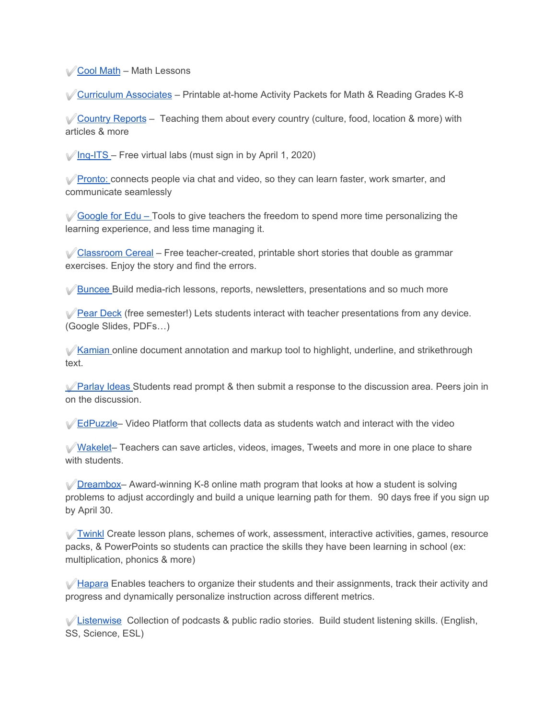✅[Cool Math](https://www.coolmath.com/) – Math Lessons

✅[Curriculum Associates](https://www.curriculumassociates.com/supporting-students-away-from-school) – Printable at-home Activity Packets for Math & Reading Grades K-8

✅[Country Reports](https://www.countryreports.org/) – Teaching them about every country (culture, food, location & more) with articles & more

 $\sqrt{\ln q}$ -ITS – Free virtual labs (must sign in by April 1, 2020)

✅[Pronto:](https://pronto.io/coronavirus/) connects people via chat and video, so they can learn faster, work smarter, and communicate seamlessly

✅[Google for Edu –](https://www.blog.google/outreach-initiatives/education/distancelearning-covid19) Tools to give teachers the freedom to spend more time personalizing the learning experience, and less time managing it.

✅[Classroom Cereal](https://www.classroomcereal.com/) – Free teacher-created, printable short stories that double as grammar exercises. Enjoy the story and find the errors.

**◆ [Buncee](https://blog.buncee.com/supporting-remote-student-learning/) Build media-rich lessons, reports, newsletters, presentations and so much more** 

✅[Pear Deck](https://www.peardeck.com/staying-connected) (free semester!) Lets students interact with teacher presentations from any device. (Google Slides, PDFs…)

✅[Kamian](https://blog.kamiapp.com/remote-learning-with-kami-during-school-shutdowns/) online document annotation and markup tool to highlight, underline, and strikethrough text.

✅[Parlay Ideas](https://parlayideas.com/school-closure-support/) Students read prompt & then submit a response to the discussion area. Peers join in on the discussion.

✅[EdPuzzle–](https://support.edpuzzle.com/hc/en-us/articles/360039805612-Help-for-schools-affected-by-Covid-19) Video Platform that collects data as students watch and interact with the video

✅[Wakelet](https://wakelet.com/wake/3af73ea4-a652-4e38-934d-765aefe0f35b)– Teachers can save articles, videos, images, Tweets and more in one place to share with students.

✅[Dreambox–](https://www.dreambox.com/at-home) Award-winning K-8 online math program that looks at how a student is solving problems to adjust accordingly and build a unique learning path for them. 90 days free if you sign up by April 30.

✅[Twinkl](https://www.twinkl.com/blog/how-to-utilise-twinkl-during-the-coronavirus-shutdown-a-guide-for-schools) Create lesson plans, schemes of work, assessment, interactive activities, games, resource packs, & PowerPoints so students can practice the skills they have been learning in school (ex: multiplication, phonics & more)

✅[Hapara](https://hapara.com/from-home/) Enables teachers to organize their students and their assignments, track their activity and progress and dynamically personalize instruction across different metrics.

 $\sqrt{\frac{1}{100}}$ [Listenwise](http://blog.listenwise.com/2020/03/listenwise-support-for-schools-affected-by-the-coronavirus/) Collection of podcasts & public radio stories. Build student listening skills. (English, SS, Science, ESL)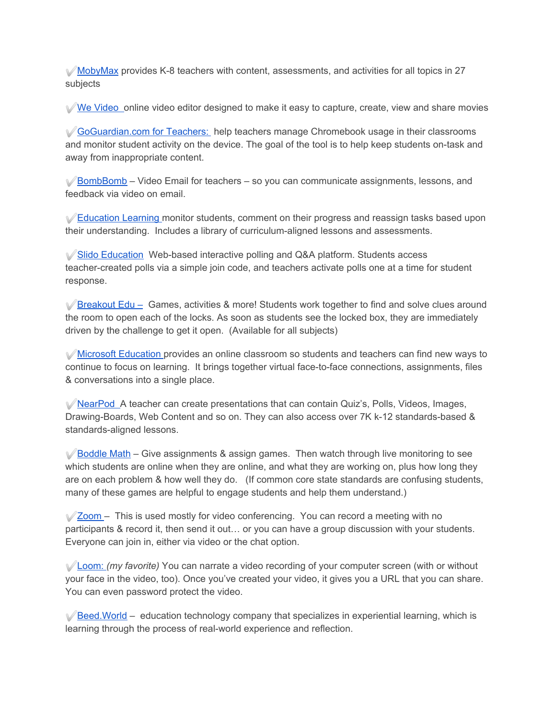$\mathcal V$ [MobyMax](http://press.mobymax.com/mobymax-to-provide-all-k-8-schools-and-school-districts-closed-by-covid-19-with-free-internet-learning-software) provides K-8 teachers with content, assessments, and activities for all topics in 27 subjects

✅[We Video](https://www.wevideo.com/education) online video editor designed to make it easy to capture, create, view and share movies

✅[GoGuardian.com for Teachers:](https://www.goguardian.com/blog/learning/goguardian-teacher-for-remote-learning/) help teachers manage Chromebook usage in their classrooms and monitor student activity on the device. The goal of the tool is to help keep students on-task and away from inappropriate content.

✅[BombBomb](https://bombbomb.com/education/) – Video Email for teachers – so you can communicate assignments, lessons, and feedback via video on email.

✅[Education Learning](https://epforlearning.com/2020/education-perfects-technology-minimising-impact-on-100-coronavirus-affected-schools-in-china/) monitor students, comment on their progress and reassign tasks based upon their understanding. Includes a library of curriculum-aligned lessons and assessments.

<del></del>*√* **[Slido Education](https://blog.sli.do/slido-for-education/)</del>** Web-based interactive polling and Q&A platform. Students access teacher-created polls via a simple join code, and teachers activate polls one at a time for student response.

 $\sqrt{\frac{Breakout}$  Edu – Games, activities & more! Students work together to find and solve clues around the room to open each of the locks. As soon as students see the locked box, they are immediately driven by the challenge to get it open. (Available for all subjects)

✅[Microsoft Education](https://educationblog.microsoft.com/en-us/2020/03/how-schools-can-ramp-up-remote-learning-programs-quickly-with-microsoft-teams/) provides an online classroom so students and teachers can find new ways to continue to focus on learning. It brings together virtual face-to-face connections, assignments, files & conversations into a single place.

✅[NearPod](https://nearpod.com/coronavirus) A teacher can create presentations that can contain Quiz's, Polls, Videos, Images, Drawing-Boards, Web Content and so on. They can also access over 7K k-12 standards-based & standards-aligned lessons.

 $\sqrt{\frac{3}{100}}$  [Boddle Math](https://boddlelearning.com/blog/boddle-for-remote-learning-covid19-update/) – Give assignments & assign games. Then watch through live monitoring to see which students are online when they are online, and what they are working on, plus how long they are on each problem & how well they do. (If common core state standards are confusing students, many of these games are helpful to engage students and help them understand.)

 $\sqrt{2}$ zoom – This is used mostly for video conferencing. You can record a meeting with no participants & record it, then send it out… or you can have a group discussion with your students. Everyone can join in, either via video or the chat option.

✅[Loom:](https://support.loom.com/hc/en-us/articles/360006579637-Loom-Pro-Free-for-Students-and-Teachers) *(my favorite)* You can narrate a video recording of your computer screen (with or without your face in the video, too). Once you've created your video, it gives you a URL that you can share. You can even password protect the video.

 $\sqrt{\frac{B}{C}}$ [Beed.World](https://www.beed.world/) – education technology company that specializes in experiential learning, which is learning through the process of real-world experience and reflection.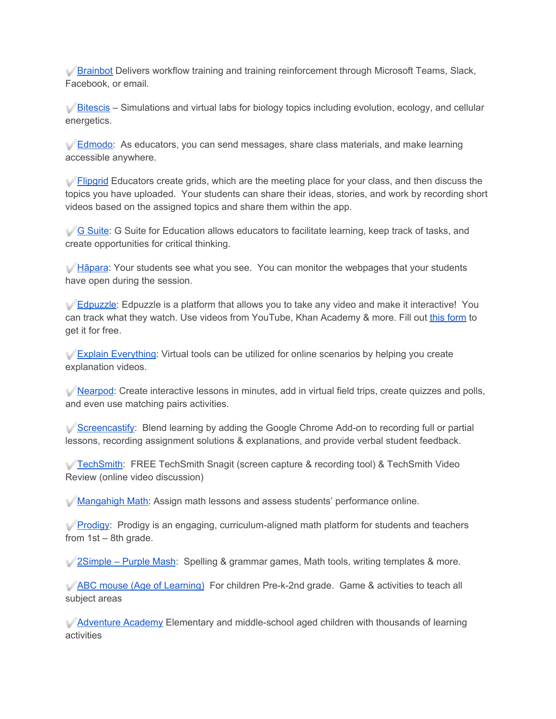✅[Brainbot](https://brainbot.ai/) Delivers workflow training and training reinforcement through Microsoft Teams, Slack, Facebook, or email.

 $\sqrt{\frac{9}{100}}$ [Bitescis](https://bitescis.org/) – Simulations and virtual labs for biology topics including evolution, ecology, and cellular energetics.

 $\sqrt{\frac{Edmodo}}$  $\sqrt{\frac{Edmodo}}$  $\sqrt{\frac{Edmodo}}$ : As educators, you can send messages, share class materials, and make learning accessible anywhere.

 $\sqrt{\frac{F\omega_0}{F}}$  Educators create grids, which are the meeting place for your class, and then discuss the topics you have uploaded. Your students can share their ideas, stories, and work by recording short videos based on the assigned topics and share them within the app.

✅[G Suite](https://cloud.google.com/blog/products/g-suite/helping-businesses-and-schools-stay-connected-in-response-to-coronavirus): G Suite for Education allows educators to facilitate learning, keep track of tasks, and create opportunities for critical thinking.

✅[Hāpara](https://hapara.com/from-home/): Your students see what you see. You can monitor the webpages that your students have open during the session.

**⊘[Edpuzzle](https://edpuzzle.com/home):** Edpuzzle is a platform that allows you to take any video and make it interactive! You can track what they watch. Use videos from YouTube, Khan Academy & more. Fill ou[t](https://go.edpuzzle.com/covid-pro.html) [this form](https://go.edpuzzle.com/covid-pro.html) to get it for free.

✅[Explain Everything](https://explaineverything.com/keep-calm-and-teach-online-free-explain-everything-for-closed-schools/?utm_source=Twitter&utm_medium=Referral&utm_campaign=KeepCalmTeachOnline): Virtual tools can be utilized for online scenarios by helping you create explanation videos.

✅[Nearpod](https://nearpod.com/coronavirus): Create interactive lessons in minutes, add in virtual field trips, create quizzes and polls, and even use matching pairs activities.

✅[Screencastify](https://www.screencastify.com/education): Blend learning by adding the Google Chrome Add-on to recording full or partial lessons, recording assignment solutions & explanations, and provide verbal student feedback.

✅[TechSmith](https://discover.techsmith.com/remote-techsmith/): FREE TechSmith Snagit (screen capture & recording tool) & TechSmith Video Review (online video discussion)

✅[Mangahigh Math:](https://www.mangahigh.com/en-us/blog/2020-03-06-free-access-schools-online-maths-coronavirus) Assign math lessons and assess students' performance online.

✅[Prodigy:](https://www.prodigygame.com/) Prodigy is an engaging, curriculum-aligned math platform for students and teachers from 1st – 8th grade.

✅[2Simple – Purple Mash:](https://2simple.com/blog/using-purple-mash-when-school-closed/) Spelling & grammar games, Math tools, writing templates & more.

✅[ABC mouse \(Age of Learning\)](https://www.ageoflearning.com/schools) For children Pre-k-2nd grade. Game & activities to teach all subject areas

✅[Adventure Academy](https://www.dpbolvw.net/click-7018440-13833741) Elementary and middle-school aged children with thousands of learning activities